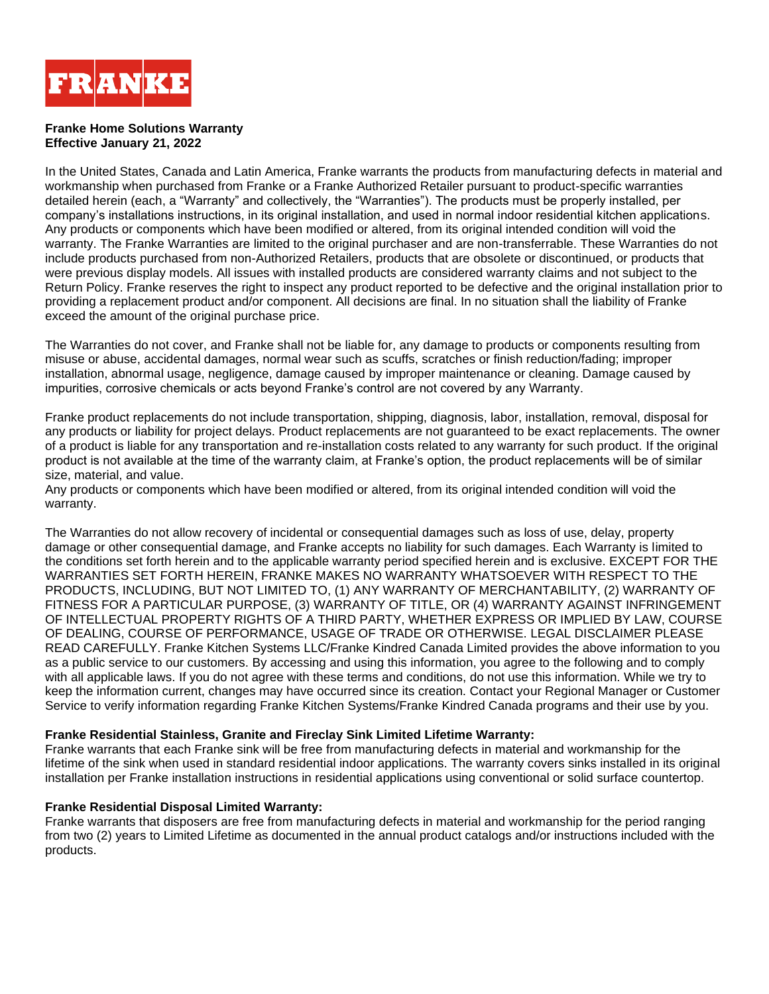

### **Franke Home Solutions Warranty Effective January 21, 2022**

In the United States, Canada and Latin America, Franke warrants the products from manufacturing defects in material and workmanship when purchased from Franke or a Franke Authorized Retailer pursuant to product-specific warranties detailed herein (each, a "Warranty" and collectively, the "Warranties"). The products must be properly installed, per company's installations instructions, in its original installation, and used in normal indoor residential kitchen applications. Any products or components which have been modified or altered, from its original intended condition will void the warranty. The Franke Warranties are limited to the original purchaser and are non-transferrable. These Warranties do not include products purchased from non-Authorized Retailers, products that are obsolete or discontinued, or products that were previous display models. All issues with installed products are considered warranty claims and not subject to the Return Policy. Franke reserves the right to inspect any product reported to be defective and the original installation prior to providing a replacement product and/or component. All decisions are final. In no situation shall the liability of Franke exceed the amount of the original purchase price.

The Warranties do not cover, and Franke shall not be liable for, any damage to products or components resulting from misuse or abuse, accidental damages, normal wear such as scuffs, scratches or finish reduction/fading; improper installation, abnormal usage, negligence, damage caused by improper maintenance or cleaning. Damage caused by impurities, corrosive chemicals or acts beyond Franke's control are not covered by any Warranty.

Franke product replacements do not include transportation, shipping, diagnosis, labor, installation, removal, disposal for any products or liability for project delays. Product replacements are not guaranteed to be exact replacements. The owner of a product is liable for any transportation and re-installation costs related to any warranty for such product. If the original product is not available at the time of the warranty claim, at Franke's option, the product replacements will be of similar size, material, and value.

Any products or components which have been modified or altered, from its original intended condition will void the warranty.

The Warranties do not allow recovery of incidental or consequential damages such as loss of use, delay, property damage or other consequential damage, and Franke accepts no liability for such damages. Each Warranty is limited to the conditions set forth herein and to the applicable warranty period specified herein and is exclusive. EXCEPT FOR THE WARRANTIES SET FORTH HEREIN, FRANKE MAKES NO WARRANTY WHATSOEVER WITH RESPECT TO THE PRODUCTS, INCLUDING, BUT NOT LIMITED TO, (1) ANY WARRANTY OF MERCHANTABILITY, (2) WARRANTY OF FITNESS FOR A PARTICULAR PURPOSE, (3) WARRANTY OF TITLE, OR (4) WARRANTY AGAINST INFRINGEMENT OF INTELLECTUAL PROPERTY RIGHTS OF A THIRD PARTY, WHETHER EXPRESS OR IMPLIED BY LAW, COURSE OF DEALING, COURSE OF PERFORMANCE, USAGE OF TRADE OR OTHERWISE. LEGAL DISCLAIMER PLEASE READ CAREFULLY. Franke Kitchen Systems LLC/Franke Kindred Canada Limited provides the above information to you as a public service to our customers. By accessing and using this information, you agree to the following and to comply with all applicable laws. If you do not agree with these terms and conditions, do not use this information. While we try to keep the information current, changes may have occurred since its creation. Contact your Regional Manager or Customer Service to verify information regarding Franke Kitchen Systems/Franke Kindred Canada programs and their use by you.

### **Franke Residential Stainless, Granite and Fireclay Sink Limited Lifetime Warranty:**

Franke warrants that each Franke sink will be free from manufacturing defects in material and workmanship for the lifetime of the sink when used in standard residential indoor applications. The warranty covers sinks installed in its original installation per Franke installation instructions in residential applications using conventional or solid surface countertop.

### **Franke Residential Disposal Limited Warranty:**

Franke warrants that disposers are free from manufacturing defects in material and workmanship for the period ranging from two (2) years to Limited Lifetime as documented in the annual product catalogs and/or instructions included with the products.